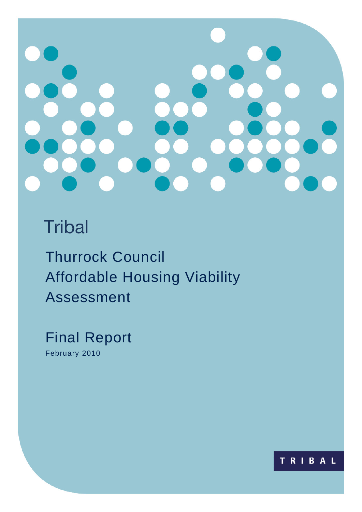# **Tribal**

Thurrock Council Affordable Housing Viability Assessment

Final Report February 2010

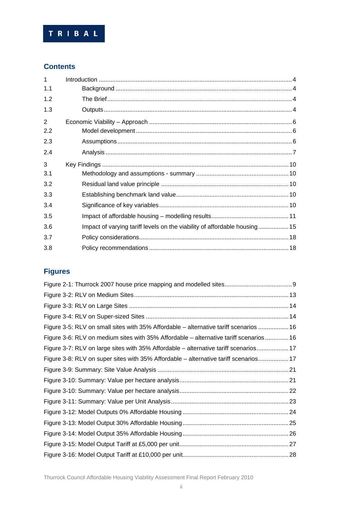

### **Contents**

| $\mathbf 1$ |                                                                           |
|-------------|---------------------------------------------------------------------------|
| 1.1         |                                                                           |
| 1.2         |                                                                           |
| 1.3         |                                                                           |
| 2           |                                                                           |
| 2.2         |                                                                           |
| 2.3         |                                                                           |
| 2.4         |                                                                           |
| 3           |                                                                           |
| 3.1         |                                                                           |
| 3.2         |                                                                           |
| 3.3         |                                                                           |
| 3.4         |                                                                           |
| 3.5         |                                                                           |
| 3.6         | Impact of varying tariff levels on the viability of affordable housing 15 |
| 3.7         |                                                                           |
| 3.8         |                                                                           |

## **Figures**

| Figure 3-5: RLV on small sites with 35% Affordable - alternative tariff scenarios  16 |
|---------------------------------------------------------------------------------------|
| Figure 3-6: RLV on medium sites with 35% Affordable – alternative tariff scenarios 16 |
| Figure 3-7: RLV on large sites with 35% Affordable – alternative tariff scenarios 17  |
| Figure 3-8: RLV on super sites with 35% Affordable - alternative tariff scenarios17   |
|                                                                                       |
|                                                                                       |
|                                                                                       |
|                                                                                       |
|                                                                                       |
|                                                                                       |
|                                                                                       |
|                                                                                       |
|                                                                                       |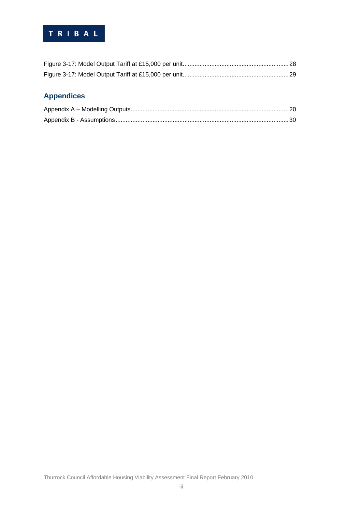## TRIBAL

## **Appendices**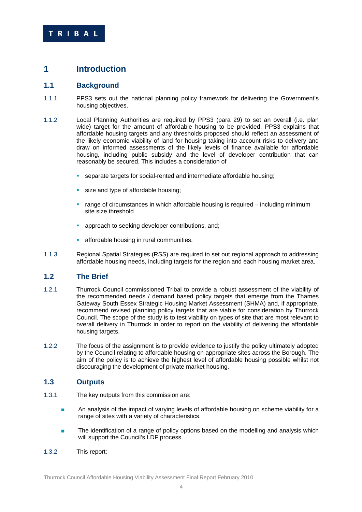### **1 Introduction**

#### **1.1 Background**

- 1.1.1 PPS3 sets out the national planning policy framework for delivering the Government's housing objectives.
- 1.1.2 Local Planning Authorities are required by PPS3 (para 29) to set an overall (i.e. plan wide) target for the amount of affordable housing to be provided. PPS3 explains that affordable housing targets and any thresholds proposed should reflect an assessment of the likely economic viability of land for housing taking into account risks to delivery and draw on informed assessments of the likely levels of finance available for affordable housing, including public subsidy and the level of developer contribution that can reasonably be secured. This includes a consideration of
	- separate targets for social-rented and intermediate affordable housing;
	- size and type of affordable housing;
	- range of circumstances in which affordable housing is required including minimum site size threshold
	- **approach to seeking developer contributions, and;**
	- affordable housing in rural communities.
- 1.1.3 Regional Spatial Strategies (RSS) are required to set out regional approach to addressing affordable housing needs, including targets for the region and each housing market area.

### **1.2 The Brief**

- 1.2.1 Thurrock Council commissioned Tribal to provide a robust assessment of the viability of the recommended needs / demand based policy targets that emerge from the Thames Gateway South Essex Strategic Housing Market Assessment (SHMA) and, if appropriate, recommend revised planning policy targets that are viable for consideration by Thurrock Council. The scope of the study is to test viability on types of site that are most relevant to overall delivery in Thurrock in order to report on the viability of delivering the affordable housing targets.
- 1.2.2 The focus of the assignment is to provide evidence to justify the policy ultimately adopted by the Council relating to affordable housing on appropriate sites across the Borough. The aim of the policy is to achieve the highest level of affordable housing possible whilst not discouraging the development of private market housing.

### **1.3 Outputs**

- 1.3.1 The key outputs from this commission are:
	- **An analysis of the impact of varying levels of affordable housing on scheme viability for a** range of sites with a variety of characteristics.
	- The identification of a range of policy options based on the modelling and analysis which will support the Council's LDF process.
- 1.3.2 This report: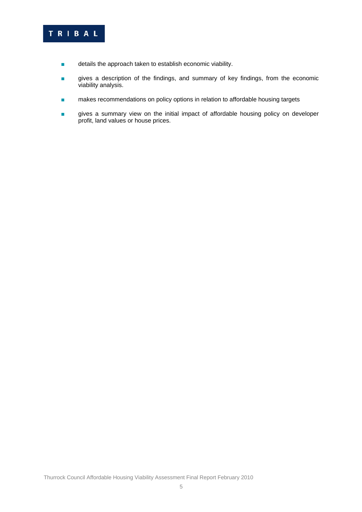## TRIBAL

- details the approach taken to establish economic viability.
- gives a description of the findings, and summary of key findings, from the economic viability analysis.
- makes recommendations on policy options in relation to affordable housing targets
- gives a summary view on the initial impact of affordable housing policy on developer profit, land values or house prices.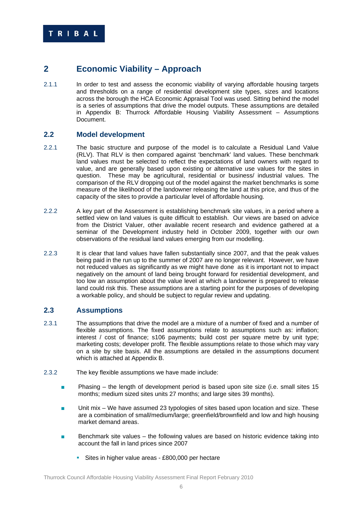### **2 Economic Viability – Approach**

2.1.1 In order to test and assess the economic viability of varying affordable housing targets and thresholds on a range of residential development site types, sizes and locations across the borough the HCA Economic Appraisal Tool was used. Sitting behind the model is a series of assumptions that drive the model outputs. These assumptions are detailed in Appendix B: Thurrock Affordable Housing Viability Assessment – Assumptions Document.

### **2.2 Model development**

- 2.2.1 The basic structure and purpose of the model is to calculate a Residual Land Value (RLV). That RLV is then compared against 'benchmark' land values. These benchmark land values must be selected to reflect the expectations of land owners with regard to value, and are generally based upon existing or alternative use values for the sites in question. These may be agricultural, residential or business/ industrial values. The comparison of the RLV dropping out of the model against the market benchmarks is some measure of the likelihood of the landowner releasing the land at this price, and thus of the capacity of the sites to provide a particular level of affordable housing.
- 2.2.2 A key part of the Assessment is establishing benchmark site values, in a period where a settled view on land values is quite difficult to establish. Our views are based on advice from the District Valuer, other available recent research and evidence gathered at a seminar of the Development industry held in October 2009, together with our own observations of the residual land values emerging from our modelling.
- 2.2.3 It is clear that land values have fallen substantially since 2007, and that the peak values being paid in the run up to the summer of 2007 are no longer relevant. However, we have not reduced values as significantly as we might have done as it is important not to impact negatively on the amount of land being brought forward for residential development, and too low an assumption about the value level at which a landowner is prepared to release land could risk this. These assumptions are a starting point for the purposes of developing a workable policy, and should be subject to regular review and updating.

### **2.3 Assumptions**

- 2.3.1 The assumptions that drive the model are a mixture of a number of fixed and a number of flexible assumptions. The fixed assumptions relate to assumptions such as: inflation; interest / cost of finance; s106 payments; build cost per square metre by unit type; marketing costs; developer profit. The flexible assumptions relate to those which may vary on a site by site basis. All the assumptions are detailed in the assumptions document which is attached at Appendix B.
- 2.3.2 The key flexible assumptions we have made include:
	- **Phasing the length of development period is based upon site size (i.e. small sites 15** months; medium sized sites units 27 months; and large sites 39 months).
	- Unit mix We have assumed 23 typologies of sites based upon location and size. These are a combination of small/medium/large; greenfield/brownfield and low and high housing market demand areas.
	- Benchmark site values the following values are based on historic evidence taking into account the fall in land prices since 2007
		- Sites in higher value areas £800,000 per hectare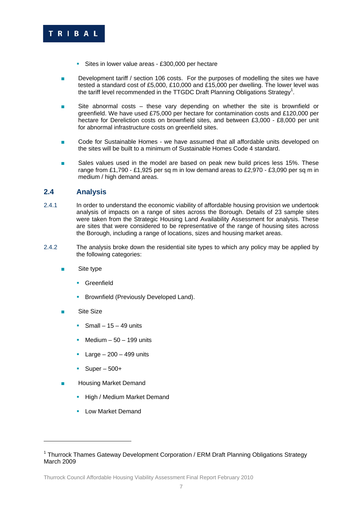

- Sites in lower value areas £300,000 per hectare
- Development tariff / section 106 costs. For the purposes of modelling the sites we have tested a standard cost of £5,000, £10,000 and £15,000 per dwelling. The lower level was the tariff level recommended in the TTGDC Draft Planning Obligations Strategy<sup>1</sup>.
- Site abnormal costs these vary depending on whether the site is brownfield or greenfield. We have used £75,000 per hectare for contamination costs and £120,000 per hectare for Dereliction costs on brownfield sites, and between £3,000 - £8,000 per unit for abnormal infrastructure costs on greenfield sites.
- Code for Sustainable Homes we have assumed that all affordable units developed on the sites will be built to a minimum of Sustainable Homes Code 4 standard.
- Sales values used in the model are based on peak new build prices less 15%. These range from £1,790 - £1,925 per sq m in low demand areas to £2,970 - £3,090 per sq m in medium / high demand areas.

#### **2.4 Analysis**

- 2.4.1 In order to understand the economic viability of affordable housing provision we undertook analysis of impacts on a range of sites across the Borough. Details of 23 sample sites were taken from the Strategic Housing Land Availability Assessment for analysis. These are sites that were considered to be representative of the range of housing sites across the Borough, including a range of locations, sizes and housing market areas.
- 2.4.2 The analysis broke down the residential site types to which any policy may be applied by the following categories:
	- Site type
		- **Greenfield**
		- **Brownfield (Previously Developed Land).**
	- **Site Size**

1

- Small  $15 49$  units
- Medium  $-50 199$  units
- Large  $-200 499$  units
- $\blacksquare$  Super 500+
- **Housing Market Demand** 
	- **High / Medium Market Demand**
	- **Low Market Demand**

<sup>&</sup>lt;sup>1</sup> Thurrock Thames Gateway Development Corporation / ERM Draft Planning Obligations Strategy March 2009

Thurrock Council Affordable Housing Viability Assessment Final Report February 2010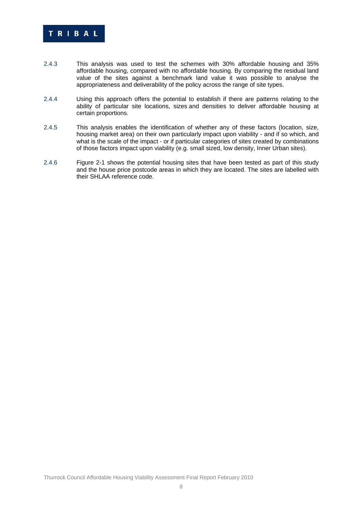

- 2.4.3 This analysis was used to test the schemes with 30% affordable housing and 35% affordable housing, compared with no affordable housing. By comparing the residual land value of the sites against a benchmark land value it was possible to analyse the appropriateness and deliverability of the policy across the range of site types.
- 2.4.4 Using this approach offers the potential to establish if there are patterns relating to the ability of particular site locations, sizes and densities to deliver affordable housing at certain proportions.
- 2.4.5 This analysis enables the identification of whether any of these factors (location, size, housing market area) on their own particularly impact upon viability - and if so which, and what is the scale of the impact - or if particular categories of sites created by combinations of those factors impact upon viability (e.g. small sized, low density, Inner Urban sites).
- 2.4.6 Figure 2-1 shows the potential housing sites that have been tested as part of this study and the house price postcode areas in which they are located. The sites are labelled with their SHLAA reference code.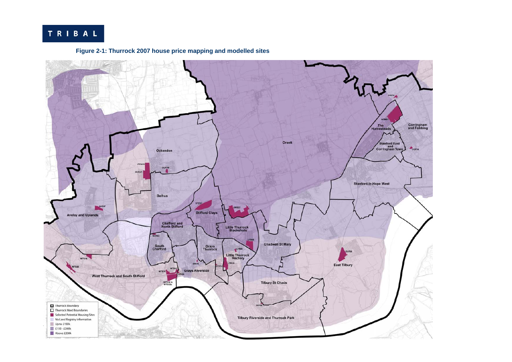## TRIBAL



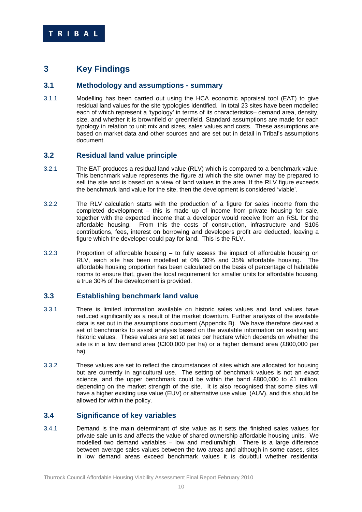### **3 Key Findings**

#### **3.1 Methodology and assumptions - summary**

3.1.1 Modelling has been carried out using the HCA economic appraisal tool (EAT) to give residual land values for the site typologies identified. In total 23 sites have been modelled each of which represent a 'typology' in terms of its characteristics– demand area, density, size, and whether it is brownfield or greenfield. Standard assumptions are made for each typology in relation to unit mix and sizes, sales values and costs. These assumptions are based on market data and other sources and are set out in detail in Tribal's assumptions document.

#### **3.2 Residual land value principle**

- 3.2.1 The EAT produces a residual land value (RLV) which is compared to a benchmark value. This benchmark value represents the figure at which the site owner may be prepared to sell the site and is based on a view of land values in the area. If the RLV figure exceeds the benchmark land value for the site, then the development is considered 'viable'.
- 3.2.2 The RLV calculation starts with the production of a figure for sales income from the completed development – this is made up of income from private housing for sale, together with the expected income that a developer would receive from an RSL for the affordable housing. From this the costs of construction, infrastructure and S106 contributions, fees, interest on borrowing and developers profit are deducted, leaving a figure which the developer could pay for land. This is the RLV.
- 3.2.3 Proportion of affordable housing to fully assess the impact of affordable housing on RLV, each site has been modelled at 0% 30% and 35% affordable housing. The affordable housing proportion has been calculated on the basis of percentage of habitable rooms to ensure that, given the local requirement for smaller units for affordable housing, a true 30% of the development is provided.

#### **3.3 Establishing benchmark land value**

- 3.3.1 There is limited information available on historic sales values and land values have reduced significantly as a result of the market downturn. Further analysis of the available data is set out in the assumptions document (Appendix B). We have therefore devised a set of benchmarks to assist analysis based on the available information on existing and historic values. These values are set at rates per hectare which depends on whether the site is in a low demand area (£300,000 per ha) or a higher demand area (£800,000 per ha)
- 3.3.2 These values are set to reflect the circumstances of sites which are allocated for housing but are currently in agricultural use. The setting of benchmark values is not an exact science, and the upper benchmark could be within the band £800,000 to £1 million, depending on the market strength of the site. It is also recognised that some sites will have a higher existing use value (EUV) or alternative use value (AUV), and this should be allowed for within the policy.

#### **3.4 Significance of key variables**

3.4.1 Demand is the main determinant of site value as it sets the finished sales values for private sale units and affects the value of shared ownership affordable housing units. We modelled two demand variables – low and medium/high. There is a large difference between average sales values between the two areas and although in some cases, sites in low demand areas exceed benchmark values it is doubtful whether residential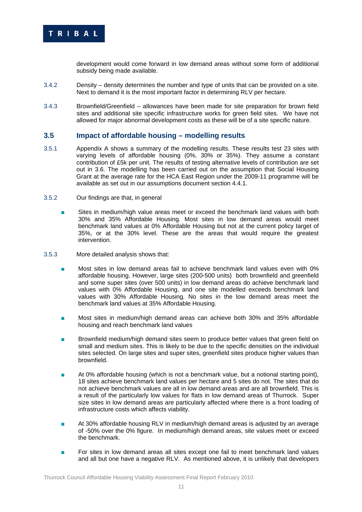

development would come forward in low demand areas without some form of additional subsidy being made available.

- 3.4.2 Density density determines the number and type of units that can be provided on a site. Next to demand it is the most important factor in determining RLV per hectare.
- 3.4.3 Brownfield/Greenfield allowances have been made for site preparation for brown field sites and additional site specific infrastructure works for green field sites. We have not allowed for major abnormal development costs as these will be of a site specific nature.

#### **3.5 Impact of affordable housing – modelling results**

- 3.5.1 Appendix A shows a summary of the modelling results. These results test 23 sites with varying levels of affordable housing (0%, 30% or 35%). They assume a constant contribution of £5k per unit. The results of testing alternative levels of contribution are set out in 3.6. The modelling has been carried out on the assumption that Social Housing Grant at the average rate for the HCA East Region under the 2009-11 programme will be available as set out in our assumptions document section 4.4.1.
- 3.5.2 Our findings are that, in general
	- Sites in medium/high value areas meet or exceed the benchmark land values with both 30% and 35% Affordable Housing. Most sites in low demand areas would meet benchmark land values at 0% Affordable Housing but not at the current policy target of 35%, or at the 30% level. These are the areas that would require the greatest intervention.
- 3.5.3 More detailed analysis shows that:
	- Most sites in low demand areas fail to achieve benchmark land values even with 0% affordable housing. However, large sites (200-500 units) both brownfield and greenfield and some super sites (over 500 units) in low demand areas do achieve benchmark land values with 0% Affordable Housing, and one site modelled exceeds benchmark land values with 30% Affordable Housing. No sites in the low demand areas meet the benchmark land values at 35% Affordable Housing.
	- Most sites in medium/high demand areas can achieve both 30% and 35% affordable housing and reach benchmark land values
	- Brownfield medium/high demand sites seem to produce better values that green field on small and medium sites. This is likely to be due to the specific densities on the individual sites selected. On large sites and super sites, greenfield sites produce higher values than brownfield.
	- At 0% affordable housing (which is not a benchmark value, but a notional starting point), 18 sites achieve benchmark land values per hectare and 5 sites do not. The sites that do not achieve benchmark values are all in low demand areas and are all brownfield. This is a result of the particularly low values for flats in low demand areas of Thurrock. Super size sites in low demand areas are particularly affected where there is a front loading of infrastructure costs which affects viability.
	- At 30% affordable housing RLV in medium/high demand areas is adjusted by an average of -50% over the 0% figure. In medium/high demand areas, site values meet or exceed the benchmark.
	- For sites in low demand areas all sites except one fail to meet benchmark land values and all but one have a negative RLV. As mentioned above, it is unlikely that developers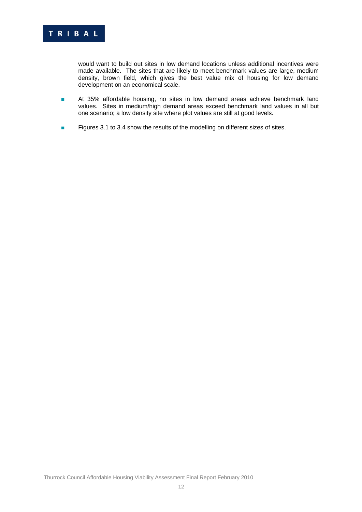

would want to build out sites in low demand locations unless additional incentives were made available. The sites that are likely to meet benchmark values are large, medium density, brown field, which gives the best value mix of housing for low demand development on an economical scale.

- At 35% affordable housing, no sites in low demand areas achieve benchmark land values. Sites in medium/high demand areas exceed benchmark land values in all but one scenario; a low density site where plot values are still at good levels.
- Figures 3.1 to 3.4 show the results of the modelling on different sizes of sites.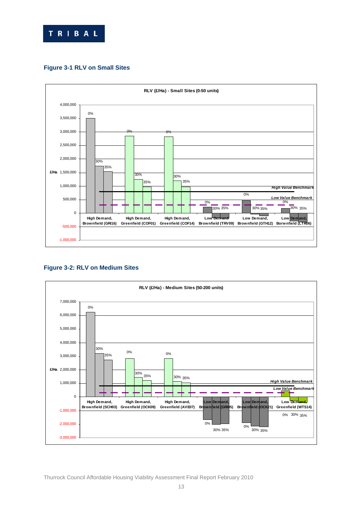

#### **Figure 3-1 RLV on Small Sites**



#### **Figure 3-2: RLV on Medium Sites**

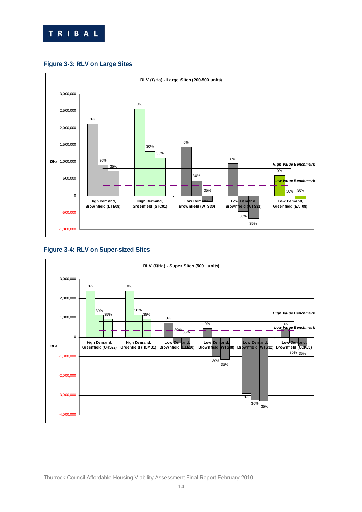







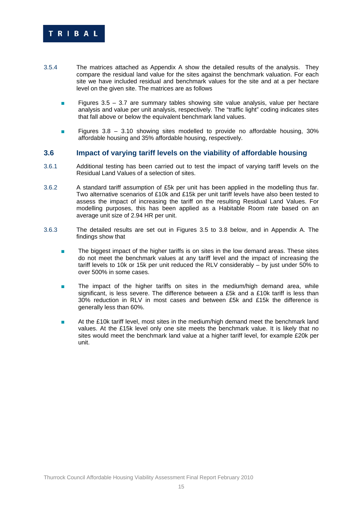

- 3.5.4 The matrices attached as Appendix A show the detailed results of the analysis. They compare the residual land value for the sites against the benchmark valuation. For each site we have included residual and benchmark values for the site and at a per hectare level on the given site. The matrices are as follows
	- Figures 3.5 3.7 are summary tables showing site value analysis, value per hectare analysis and value per unit analysis, respectively. The "traffic light" coding indicates sites that fall above or below the equivalent benchmark land values.
	- Figures 3.8 3.10 showing sites modelled to provide no affordable housing, 30% affordable housing and 35% affordable housing, respectively.

#### **3.6 Impact of varying tariff levels on the viability of affordable housing**

- 3.6.1 Additional testing has been carried out to test the impact of varying tariff levels on the Residual Land Values of a selection of sites.
- 3.6.2 A standard tariff assumption of £5k per unit has been applied in the modelling thus far. Two alternative scenarios of £10k and £15k per unit tariff levels have also been tested to assess the impact of increasing the tariff on the resulting Residual Land Values. For modelling purposes, this has been applied as a Habitable Room rate based on an average unit size of 2.94 HR per unit.
- 3.6.3 The detailed results are set out in Figures 3.5 to 3.8 below, and in Appendix A. The findings show that
	- The biggest impact of the higher tariffs is on sites in the low demand areas. These sites do not meet the benchmark values at any tariff level and the impact of increasing the tariff levels to 10k or 15k per unit reduced the RLV considerably – by just under 50% to over 500% in some cases.
	- The impact of the higher tariffs on sites in the medium/high demand area, while significant, is less severe. The difference between a £5k and a £10k tariff is less than 30% reduction in RLV in most cases and between £5k and £15k the difference is generally less than 60%.
	- At the £10k tariff level, most sites in the medium/high demand meet the benchmark land values. At the £15k level only one site meets the benchmark value. It is likely that no sites would meet the benchmark land value at a higher tariff level, for example £20k per unit.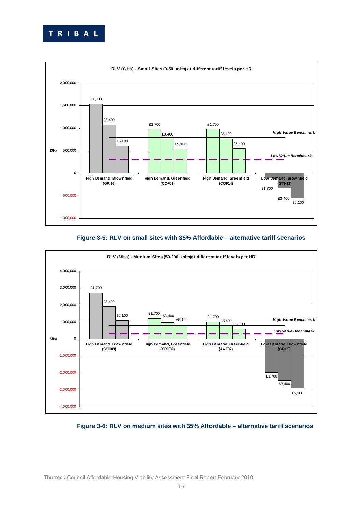



#### **Figure 3-5: RLV on small sites with 35% Affordable – alternative tariff scenarios**



#### **Figure 3-6: RLV on medium sites with 35% Affordable – alternative tariff scenarios**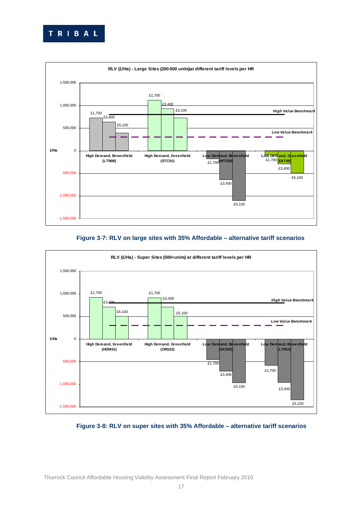



#### **Figure 3-7: RLV on large sites with 35% Affordable – alternative tariff scenarios**



#### **Figure 3-8: RLV on super sites with 35% Affordable – alternative tariff scenarios**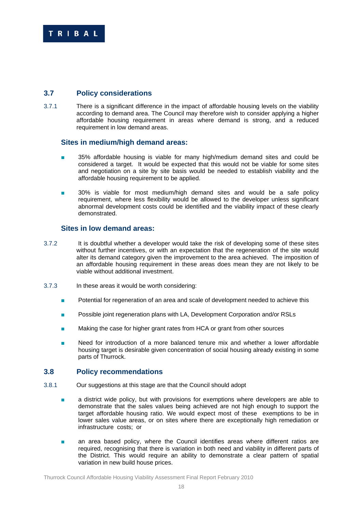

### **3.7 Policy considerations**

3.7.1 There is a significant difference in the impact of affordable housing levels on the viability according to demand area. The Council may therefore wish to consider applying a higher affordable housing requirement in areas where demand is strong, and a reduced requirement in low demand areas.

#### **Sites in medium/high demand areas:**

- 35% affordable housing is viable for many high/medium demand sites and could be considered a target. It would be expected that this would not be viable for some sites and negotiation on a site by site basis would be needed to establish viability and the affordable housing requirement to be applied.
- 30% is viable for most medium/high demand sites and would be a safe policy requirement, where less flexibility would be allowed to the developer unless significant abnormal development costs could be identified and the viability impact of these clearly demonstrated.

#### **Sites in low demand areas:**

- 3.7.2 It is doubtful whether a developer would take the risk of developing some of these sites without further incentives, or with an expectation that the regeneration of the site would alter its demand category given the improvement to the area achieved. The imposition of an affordable housing requirement in these areas does mean they are not likely to be viable without additional investment.
- 3.7.3 In these areas it would be worth considering:
	- Potential for regeneration of an area and scale of development needed to achieve this
	- Possible joint regeneration plans with LA, Development Corporation and/or RSLs
	- Making the case for higher grant rates from HCA or grant from other sources
	- Need for introduction of a more balanced tenure mix and whether a lower affordable housing target is desirable given concentration of social housing already existing in some parts of Thurrock.

#### **3.8 Policy recommendations**

- 3.8.1 Our suggestions at this stage are that the Council should adopt
	- a district wide policy, but with provisions for exemptions where developers are able to demonstrate that the sales values being achieved are not high enough to support the target affordable housing ratio. We would expect most of these exemptions to be in lower sales value areas, or on sites where there are exceptionally high remediation or infrastructure costs; or
	- **a** an area based policy, where the Council identifies areas where different ratios are required, recognising that there is variation in both need and viability in different parts of the District. This would require an ability to demonstrate a clear pattern of spatial variation in new build house prices.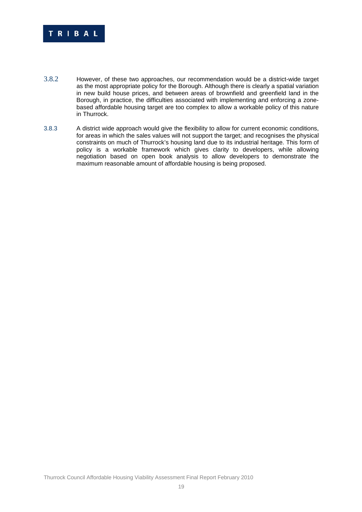

- 3.8.2 However, of these two approaches, our recommendation would be a district-wide target as the most appropriate policy for the Borough. Although there is clearly a spatial variation in new build house prices, and between areas of brownfield and greenfield land in the Borough, in practice, the difficulties associated with implementing and enforcing a zonebased affordable housing target are too complex to allow a workable policy of this nature in Thurrock.
- 3.8.3 A district wide approach would give the flexibility to allow for current economic conditions, for areas in which the sales values will not support the target; and recognises the physical constraints on much of Thurrock's housing land due to its industrial heritage. This form of policy is a workable framework which gives clarity to developers, while allowing negotiation based on open book analysis to allow developers to demonstrate the maximum reasonable amount of affordable housing is being proposed.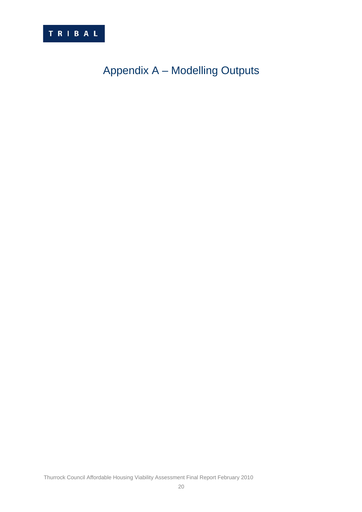

## Appendix A – Modelling Outputs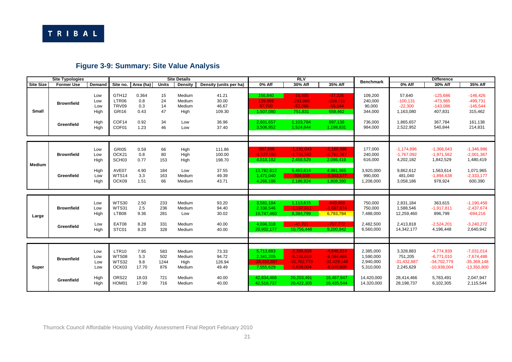

## **Figure 3-9: Summary: Site Value Analysis**

|                  | <b>Site Typologies</b>          |                                           |                                                                            |                                               |                                         | <b>Site Details</b>                                    |                                                       |                                                                                  | R <sub>IV</sub>                                                                           |                                                                                           | <b>Benchmark</b>                                                             |                                                                                | <b>Difference</b>                                                                        |                                                                                          |
|------------------|---------------------------------|-------------------------------------------|----------------------------------------------------------------------------|-----------------------------------------------|-----------------------------------------|--------------------------------------------------------|-------------------------------------------------------|----------------------------------------------------------------------------------|-------------------------------------------------------------------------------------------|-------------------------------------------------------------------------------------------|------------------------------------------------------------------------------|--------------------------------------------------------------------------------|------------------------------------------------------------------------------------------|------------------------------------------------------------------------------------------|
| <b>Site Size</b> | <b>Former Use</b>               | Demand                                    | Site no.                                                                   | Area (ha)                                     | <b>Units</b>                            | <b>Density</b>                                         | Density (units per ha)                                | 0% Aff                                                                           | 30% Aff                                                                                   | 35% Aff                                                                                   |                                                                              | 0% Aff                                                                         | 30% Aff                                                                                  | 35% Aff                                                                                  |
| <b>Small</b>     | <b>Brownfield</b><br>Greenfield | Low<br>Low<br>Low<br>High<br>High<br>High | GTH <sub>12</sub><br>LTR06<br>TRV09<br>GRI16<br>COF14<br>COF <sub>01</sub> | 0.364<br>0.8<br>0.3<br>0.43<br>0.92<br>1.23   | 15<br>24<br>14<br>47<br>34<br>46        | Medium<br>Medium<br>Medium<br>High<br>Low<br>Low       | 41.21<br>30.00<br>46.67<br>109.30<br>36.96<br>37.40   | 166.840<br>139,869<br>67.700<br>1,507,080<br>2,601,657<br>3,506,952              | $-16.486$<br>$-233,985$<br>$-53.086$<br>751,831<br>1,103,784<br>1,524,844                 | $-37.226$<br>$-259,731$<br>$-55.544$<br>659,462<br>897,138<br>1,198,831                   | 109,200<br>240,000<br>90,000<br>344,000<br>736,000<br>984,000                | 57,640<br>$-100, 131$<br>$-22.300$<br>1,163,080<br>1,865,657<br>2,522,952      | $-125.686$<br>$-473,985$<br>$-143,086$<br>407,831<br>367,784<br>540,844                  | $-146.426$<br>$-499,731$<br>$-145,544$<br>315,462<br>161,138<br>214,831                  |
| Medium           | <b>Brownfield</b><br>Greenfield | Low<br>Low<br>High<br>High<br>Low<br>High | GRI05<br>OCK21<br>SCH <sub>03</sub><br>AVE07<br>WTS14<br>OCK09             | 0.59<br>0.8<br>0.77<br>4.90<br>3.3<br>1.51    | 66<br>80<br>153<br>184<br>163<br>66     | High<br>High<br>High<br>Low<br>Medium<br>Medium        | 111.86<br>100.00<br>198.70<br>37.55<br>49.39<br>43.71 | $-997.896$<br>$-1,527,092$<br>4,818,182<br>13,782,612<br>1,471,040<br>4,266,186  | $-1.191.043$<br>$-1,731,562$<br>2,458,529<br>5,483,614<br>$-904.638$<br>2,186,924         | $-1,169,986$<br>$-1,761,367$<br>2,096,419<br>4,991,965<br>$-1,343,177$<br>1,808,390       | 177,000<br>240,000<br>616,000<br>3,920,000<br>990,000<br>1,208,000           | $-1,174,896$<br>$-1,767,092$<br>4,202,182<br>9,862,612<br>481,040<br>3,058,186 | $-1,368,043$<br>$-1,971,562$<br>1,842,529<br>1,563,614<br>$-1,894,638$<br>978,924        | $-1,346,986$<br>$-2,001,367$<br>1,480,419<br>1,071,965<br>$-2,333,177$<br>600,390        |
| Large            | <b>Brownfield</b><br>Greenfield | Low<br>Low<br>High<br>Low<br>High         | <b>WTS30</b><br>WTS31<br>LTB08<br>EAT08<br>STC01                           | 2.50<br>2.5<br>9.36<br>8.28<br>8.20           | 233<br>236<br>281<br>331<br>328         | Medium<br>Medium<br>Low<br>Medium<br>Medium            | 93.20<br>94.40<br>30.02<br>40.00<br>40.00             | 3.581.184<br>2,338,546<br>19,747,460<br>4.896.318<br>20,902,177                  | 1,113,615<br>$-1,167,811$<br>8,384,799<br>$-41.701$<br>10,756,448                         | $-440.458$<br>$-1,687,674$<br>6,793,784<br>$-757,772$<br>9,200,942                        | 750,000<br>750,000<br>7,488,000<br>2,482,500<br>6,560,000                    | 2,831,184<br>1,588,546<br>12,259,460<br>2,413,818<br>14,342,177                | 363,615<br>$-1,917,811$<br>896,799<br>$-2,524,201$<br>4,196,448                          | $-1,190,458$<br>$-2,437,674$<br>$-694,216$<br>$-3,240,272$<br>2,640,942                  |
| Super            | <b>Brownfield</b><br>Greenfield | Low<br>Low<br>Low<br>Low<br>High<br>High  | LTR <sub>10</sub><br>WTS08<br><b>WTS32</b><br>OCK03<br>ORS22<br>HOM01      | 7.95<br>5.3<br>9.8<br>17.70<br>18.03<br>17.90 | 583<br>502<br>1244<br>876<br>721<br>716 | Medium<br>Medium<br>High<br>Medium<br>Medium<br>Medium | 73.33<br>94.72<br>126.94<br>49.49<br>40.00<br>40.00   | 5.713.883<br>2.341.205<br>$-28.492.887$<br>7,555,629<br>42.834.466<br>42,518,737 | $-2,389,939$<br>$-5.181.010$<br>$-31,762,779$<br>$-5,628,004$<br>20.203.491<br>20,422,305 | $-4.646.014$<br>$-6.084.488$<br>$-32,429,148$<br>$-8.040.800$<br>16,467,947<br>16,435,544 | 2,385,000<br>1,590,000<br>2,940,000<br>5,310,000<br>14,420,000<br>14,320,000 | 3,328,883<br>751.205<br>$-31,432,887$<br>2,245,629<br>28,414,466<br>28,198,737 | $-4,774,939$<br>$-6,771,010$<br>$-34,702,779$<br>$-10,938,004$<br>5,783,491<br>6,102,305 | $-7,031,014$<br>$-7,674,488$<br>$-35,369,148$<br>$-13,350,800$<br>2,047,947<br>2,115,544 |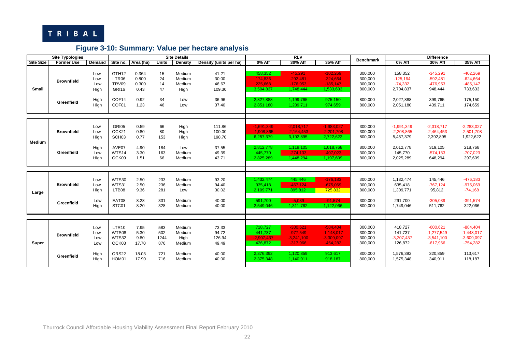

## **Figure 3-10: Summary: Value per hectare analysis**

|                  | <b>Site Typologies</b>          |                                           |                                                                                   |                                                 |                                         | <b>Site Details</b>                                    |                                                       |                                                                                | RIV                                                                               |                                                                                   |                                                                |                                                                                | <b>Difference</b>                                                              |                                                                                |
|------------------|---------------------------------|-------------------------------------------|-----------------------------------------------------------------------------------|-------------------------------------------------|-----------------------------------------|--------------------------------------------------------|-------------------------------------------------------|--------------------------------------------------------------------------------|-----------------------------------------------------------------------------------|-----------------------------------------------------------------------------------|----------------------------------------------------------------|--------------------------------------------------------------------------------|--------------------------------------------------------------------------------|--------------------------------------------------------------------------------|
| <b>Site Size</b> | <b>Former Use</b>               | Demand                                    | Site no.                                                                          | Area (ha)                                       | <b>Units</b>                            | Density                                                | Density (units per ha)                                | 0% Aff                                                                         | 30% Aff                                                                           | 35% Aff                                                                           | <b>Benchmark</b>                                               | 0% Aff                                                                         | 30% Aff                                                                        | 35% Aff                                                                        |
| <b>Small</b>     | <b>Brownfield</b><br>Greenfield | Low<br>Low<br>Low<br>High<br>High<br>High | GTH <sub>12</sub><br>LTR06<br>TRV09<br><b>GRI16</b><br>COF <sub>14</sub><br>COF01 | 0.364<br>0.800<br>0.300<br>0.43<br>0.92<br>1.23 | 15<br>24<br>14<br>47<br>34<br>46        | Medium<br>Medium<br>Medium<br>High<br>Low<br>Low       | 41.21<br>30.00<br>46.67<br>109.30<br>36.96<br>37.40   | 458.352<br>174.836<br>225.668<br>3,504,837<br>2.827.888<br>2,851,180           | $-45,291$<br>$-292,481$<br>$-176.953$<br>1,748,444<br>1,199,765<br>1,239,711      | $-102,269$<br>$-324,664$<br>$-185.147$<br>1,533,633<br>975,150<br>974,659         | 300,000<br>300,000<br>300,000<br>800,000<br>800,000<br>800,000 | 158,352<br>$-125,164$<br>$-74,332$<br>2,704,837<br>2,027,888<br>2,051,180      | $-345,291$<br>$-592,481$<br>$-476,953$<br>948,444<br>399,765<br>439,711        | $-402,269$<br>$-624,664$<br>$-485,147$<br>733,633<br>175,150<br>174,659        |
| Medium           | <b>Brownfield</b><br>Greenfield | Low<br>Low<br>High<br>High<br>Low<br>High | GRI05<br>OCK21<br>SCH <sub>03</sub><br>AVE07<br><b>WTS14</b><br>OCK09             | 0.59<br>0.80<br>0.77<br>4.90<br>3.30<br>1.51    | 66<br>80<br>153<br>184<br>163<br>66     | High<br>High<br>High<br>Low<br>Medium<br>Medium        | 111.86<br>100.00<br>198.70<br>37.55<br>49.39<br>43.71 | $-1.691.349$<br>$-1.908.865$<br>6,257,379<br>2.812.778<br>445.770<br>2,825,289 | $-2,018,717$<br>$-2,164,453$<br>3,192,895<br>1,119,105<br>$-274.133$<br>1,448,294 | $-1.983.027$<br>$-2,201,708$<br>2,722,622<br>1,018,768<br>$-407,023$<br>1,197,609 | 300,000<br>300,000<br>800,000<br>800,000<br>300,000<br>800,000 | $-1,991,349$<br>$-2,208,865$<br>5,457,379<br>2,012,778<br>145,770<br>2,025,289 | $-2,318,717$<br>$-2,464,453$<br>2,392,895<br>319,105<br>$-574,133$<br>648,294  | $-2,283,027$<br>$-2,501,708$<br>1,922,622<br>218,768<br>$-707,023$<br>397,609  |
| Large            | <b>Brownfield</b><br>Greenfield | Low<br>Low<br>High<br>Low<br>High         | <b>WTS30</b><br><b>WTS31</b><br>LTB08<br>EAT08<br>STC01                           | 2.50<br>2.50<br>9.36<br>8.28<br>8.20            | 233<br>236<br>281<br>331<br>328         | Medium<br>Medium<br>Low<br>Medium<br>Medium            | 93.20<br>94.40<br>30.02<br>40.00<br>40.00             | 1.432.474<br>935.418<br>2,109,771<br>591,700<br>2,549,046                      | 445,446<br>$-467.124$<br>895,812<br>$-5.039$<br>1,311,762                         | $-176, 183$<br>$-675,069$<br>725,832<br>$-91.574$<br>1,122,066                    | 300,000<br>300,000<br>800,000<br>300,000<br>800,000            | 1,132,474<br>635,418<br>1,309,771<br>291.700<br>1,749,046                      | 145,446<br>$-767,124$<br>95,812<br>$-305,039$<br>511,762                       | $-476,183$<br>$-975,069$<br>$-74,168$<br>$-391,574$<br>322,066                 |
| Super            | <b>Brownfield</b><br>Greenfield | Low<br>Low<br>Low<br>Low<br>High<br>High  | LTR <sub>10</sub><br><b>WTS08</b><br><b>WTS32</b><br>OCK03<br>ORS22<br>HOM01      | 7.95<br>5.30<br>9.80<br>17.70<br>18.03<br>17.90 | 583<br>502<br>1244<br>876<br>721<br>716 | Medium<br>Medium<br>High<br>Medium<br>Medium<br>Medium | 73.33<br>94.72<br>126.94<br>49.49<br>40.00<br>40.00   | 718.727<br>441.737<br>$-2.907.437$<br>426.872<br>2,376,392<br>2,375,348        | $-300.621$<br>$-977.549$<br>$-3,241,100$<br>$-317,966$<br>1,120,859<br>1,140,911  | $-584.404$<br>$-1,148,017$<br>$-3,309,097$<br>$-454,282$<br>913,617<br>918,187    | 300,000<br>300,000<br>300,000<br>300,000<br>800,000<br>800,000 | 418.727<br>141,737<br>$-3,207,437$<br>126,872<br>1,576,392<br>1,575,348        | $-600.621$<br>$-1,277,549$<br>$-3,541,100$<br>$-617,966$<br>320,859<br>340,911 | $-884,404$<br>$-1,448,017$<br>$-3,609,097$<br>$-754,282$<br>113,617<br>118,187 |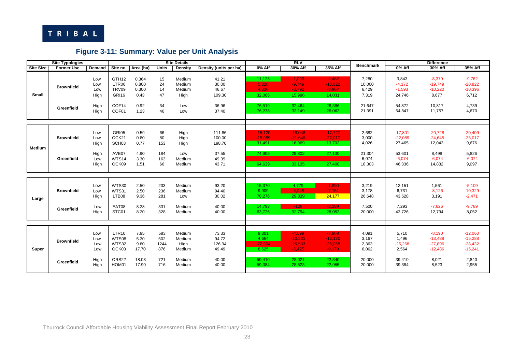

## **Figure 3-11: Summary: Value per Unit Analysis**

|                  | <b>Site Typologies</b>          |                                           |                                                                              |                                                 |                                         | <b>Site Details</b>                                    |                                                       |                                                          | R <sub>W</sub>                                                     |                                                                    | <b>Benchmark</b>                                      |                                                                  | <b>Difference</b>                                                 |                                                                    |
|------------------|---------------------------------|-------------------------------------------|------------------------------------------------------------------------------|-------------------------------------------------|-----------------------------------------|--------------------------------------------------------|-------------------------------------------------------|----------------------------------------------------------|--------------------------------------------------------------------|--------------------------------------------------------------------|-------------------------------------------------------|------------------------------------------------------------------|-------------------------------------------------------------------|--------------------------------------------------------------------|
| <b>Site Size</b> | <b>Former Use</b>               | Demand                                    | Site no.                                                                     | Area (ha)                                       | <b>Units</b>                            | Density                                                | Density (units per ha)                                | $0%$ Aff                                                 | 30% Aff                                                            | 35% Aff                                                            |                                                       | 0% Aff                                                           | 30% Aff                                                           | 35% Aff                                                            |
| <b>Small</b>     | <b>Brownfield</b><br>Greenfield | Low<br>Low<br>Low<br>High<br>High<br>High | GTH <sub>12</sub><br>LTR06<br>TRV09<br><b>GRI16</b><br>COF14<br>COF01        | 0.364<br>0.800<br>0.300<br>0.43<br>0.92<br>1.23 | 15<br>24<br>14<br>47<br>34<br>46        | Medium<br>Medium<br>Medium<br>High<br>Low<br>Low       | 41.21<br>30.00<br>46.67<br>109.30<br>36.96<br>37.40   | 11,123<br>5,828<br>4,836<br>32,066<br>76,519<br>76,238   | $-1,099$<br>$-9,749$<br>$-3,792$<br>15,996<br>32,464<br>33,149     | $-2,482$<br>$-10,822$<br>$-3,967$<br>14,031<br>26,386<br>26,062    | 7,280<br>10,000<br>6,429<br>7,319<br>21,647<br>21,391 | 3,843<br>$-4,172$<br>$-1,593$<br>24,746<br>54,872<br>54,847      | $-8,379$<br>$-19,749$<br>$-10,220$<br>8,677<br>10,817<br>11,757   | $-9,762$<br>$-20,822$<br>$-10,396$<br>6,712<br>4,739<br>4,670      |
| Medium           | <b>Brownfield</b><br>Greenfield | Low<br>Low<br>High<br>High<br>Low<br>High | GRI05<br>OCK21<br>SCH <sub>03</sub><br>AVE07<br>WTS14<br>OCK09               | 0.59<br>0.80<br>0.77<br>4.90<br>3.30<br>1.51    | 66<br>80<br>153<br>184<br>163<br>66     | High<br>High<br>High<br>Low<br>Medium<br>Medium        | 111.86<br>100.00<br>198.70<br>37.55<br>49.39<br>43.71 | $-15.120$<br>$-19.089$<br>31,491<br>74,905<br>64,639     | $-18,046$<br>$-21,645$<br>16,069<br>29,802<br>33,135               | $-17,727$<br>$-22,017$<br>13,702<br>27,130<br>27,400               | 2,682<br>3,000<br>4,026<br>21,304<br>6,074<br>18,303  | $-17,801$<br>$-22,089$<br>27,465<br>53,601<br>$-6,074$<br>46,336 | $-20,728$<br>$-24,645$<br>12,043<br>8,498<br>$-6,074$<br>14,832   | $-20,409$<br>$-25,017$<br>9,676<br>5,826<br>$-6,074$<br>9,097      |
| Large            | <b>Brownfield</b><br>Greenfield | Low<br>Low<br>High<br>Low<br>High         | <b>WTS30</b><br><b>WTS31</b><br>LTB08<br>EAT08<br>STC01                      | 2.50<br>2.50<br>9.36<br>8.28<br>8.20            | 233<br>236<br>281<br>331<br>328         | Medium<br>Medium<br>Low<br>Medium<br>Medium            | 93.20<br>94.40<br>30.02<br>40.00<br>40.00             | 15,370<br>9,909<br>70,276<br>14,793<br>63,726            | 4,779<br>$-4.948$<br>29,839<br>$-126$<br>32,794                    | $-1,890$<br>$-7,151$<br>24,177<br>$-2.289$<br>28,052               | 3,219<br>3,178<br>26,648<br>7,500<br>20,000           | 12,151<br>6,731<br>43,628<br>7,293<br>43,726                     | 1,561<br>$-8,126$<br>3,191<br>$-7,626$<br>12,794                  | $-5,109$<br>$-10,329$<br>$-2,471$<br>$-9,789$<br>8,052             |
| Super            | <b>Brownfield</b><br>Greenfield | Low<br>Low<br>Low<br>Low<br>High<br>High  | LTR <sub>10</sub><br><b>WTS08</b><br><b>WTS32</b><br>OCK03<br>ORS22<br>HOM01 | 7.95<br>5.30<br>9.80<br>17.70<br>18.03<br>17.90 | 583<br>502<br>1244<br>876<br>721<br>716 | Medium<br>Medium<br>High<br>Medium<br>Medium<br>Medium | 73.33<br>94.72<br>126.94<br>49.49<br>40.00<br>40.00   | 9,801<br>4.664<br>$-22,904$<br>8.625<br>59,410<br>59,384 | $-4,099$<br>$-10,321$<br>$-25,533$<br>$-6.425$<br>28,021<br>28,523 | $-7,969$<br>$-12,120$<br>$-26,068$<br>$-9.179$<br>22,840<br>22,955 | 4,091<br>3,167<br>2,363<br>6,062<br>20,000<br>20,000  | 5,710<br>1,496<br>$-25,268$<br>2,564<br>39,410<br>39,384         | $-8,190$<br>$-13,488$<br>$-27,896$<br>$-12,486$<br>8,021<br>8,523 | $-12,060$<br>$-15,288$<br>$-28,432$<br>$-15,241$<br>2,840<br>2,955 |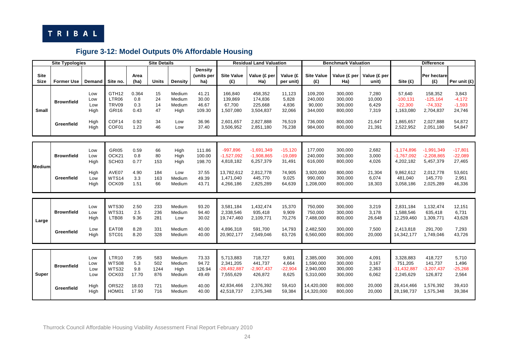

## **Figure 3-12: Model Outputs 0% Affordable Housing**

|                            | <b>Site Typologies</b>          |                                   |                                                            |                                     | <b>Site Details</b>             |                                             |                                            |                                                                 | <b>Residual Land Valuation</b>                            |                                               |                                                           | <b>Benchmark Valuation</b>                          |                                             |                                                                 | <b>Difference</b>                                            |                                                   |
|----------------------------|---------------------------------|-----------------------------------|------------------------------------------------------------|-------------------------------------|---------------------------------|---------------------------------------------|--------------------------------------------|-----------------------------------------------------------------|-----------------------------------------------------------|-----------------------------------------------|-----------------------------------------------------------|-----------------------------------------------------|---------------------------------------------|-----------------------------------------------------------------|--------------------------------------------------------------|---------------------------------------------------|
| <b>Site</b><br><b>Size</b> | <b>Former Use</b>               | <b>Demand</b>                     | Site no.                                                   | Area<br>(ha)                        | <b>Units</b>                    | <b>Density</b>                              | <b>Density</b><br>(units per<br>ha)        | <b>Site Value</b><br>$(\mathbf{f})$                             | Value (£ per<br>Ha)                                       | Value (£<br>per unit)                         | <b>Site Value</b><br>(E)                                  | Value (£ per<br>Ha)                                 | Value (£ per<br>unit)                       | Site $(E)$                                                      | Per hectare<br>(E)                                           | Per unit (£)                                      |
| <b>Small</b>               | <b>Brownfield</b><br>Greenfield | Low<br>Low<br>Low<br>High<br>High | GTH <sub>12</sub><br>LTR06<br>TRV09<br>GRI16<br>COF14      | 0.364<br>0.8<br>0.3<br>0.43<br>0.92 | 15<br>24<br>14<br>47<br>34      | Medium<br>Medium<br>Medium<br>High<br>Low   | 41.21<br>30.00<br>46.67<br>109.30<br>36.96 | 166,840<br>139,869<br>67,700<br>1,507,080<br>2,601,657          | 458,352<br>174,836<br>225,668<br>3,504,837<br>2,827,888   | 11,123<br>5,828<br>4,836<br>32,066<br>76,519  | 109,200<br>240,000<br>90,000<br>344,000<br>736,000        | 300,000<br>300,000<br>300,000<br>800,000<br>800,000 | 7,280<br>10,000<br>6,429<br>7,319<br>21,647 | 57,640<br>$-100, 131$<br>$-22,300$<br>1,163,080<br>1,865,657    | 158,352<br>$-125,164$<br>$-74,332$<br>2,704,837<br>2,027,888 | 3,843<br>$-4,172$<br>$-1,593$<br>24,746<br>54,872 |
|                            |                                 | High                              | COF01                                                      | 1.23                                | 46                              | Low                                         | 37.40                                      | 3,506,952                                                       | 2,851,180                                                 | 76,238                                        | 984,000                                                   | 800,000                                             | 21,391                                      | 2,522,952                                                       | 2,051,180                                                    | 54,847                                            |
|                            | <b>Brownfield</b>               | Low<br>Low<br>High                | <b>GRI05</b><br>OCK21<br>SCH <sub>03</sub>                 | 0.59<br>0.8<br>0.77                 | 66<br>80<br>153                 | High<br>High<br>High                        | 111.86<br>100.00<br>198.70                 | $-997,896$<br>$-1,527,092$<br>4,818,182                         | $-1,691,349$<br>$-1,908,865$<br>6,257,379                 | $-15,120$<br>$-19,089$<br>31,491              | 177,000<br>240.000<br>616,000                             | 300,000<br>300.000<br>800,000                       | 2,682<br>3,000<br>4,026                     | $-1,174,896$<br>$-1,767,092$<br>4,202,182                       | $-1,991,349$<br>$-2,208,865$<br>5,457,379                    | $-17,801$<br>$-22,089$<br>27,465                  |
| Medium                     | Greenfield                      | High<br>Low<br>High               | AVE07<br>WTS14<br>OCK09                                    | 4.90<br>3.3<br>1.51                 | 184<br>163<br>66                | Low<br>Medium<br>Medium                     | 37.55<br>49.39<br>43.71                    | 13,782,612<br>1,471,040<br>4,266,186                            | 2,812,778<br>445,770<br>2,825,289                         | 74,905<br>9,025<br>64,639                     | 3,920,000<br>990,000<br>1,208,000                         | 800,000<br>300,000<br>800,000                       | 21,304<br>6,074<br>18,303                   | 9,862,612<br>481,040<br>3,058,186                               | 2,012,778<br>145,770<br>2,025,289                            | 53,601<br>2,951<br>46,336                         |
| Large                      | <b>Brownfield</b><br>Greenfield | Low<br>Low<br>High<br>Low<br>High | <b>WTS30</b><br>WTS31<br>LTB08<br>EAT08<br>STC01           | 2.50<br>2.5<br>9.36<br>8.28<br>8.20 | 233<br>236<br>281<br>331<br>328 | Medium<br>Medium<br>Low<br>Medium<br>Medium | 93.20<br>94.40<br>30.02<br>40.00<br>40.00  | 3.581.184<br>2,338,546<br>19,747,460<br>4,896,318<br>20,902,177 | 1,432,474<br>935,418<br>2,109,771<br>591,700<br>2,549,046 | 15,370<br>9,909<br>70,276<br>14,793<br>63,726 | 750.000<br>750,000<br>7,488,000<br>2,482,500<br>6,560,000 | 300,000<br>300,000<br>800,000<br>300,000<br>800,000 | 3,219<br>3,178<br>26,648<br>7,500<br>20,000 | 2,831,184<br>1,588,546<br>12,259,460<br>2,413,818<br>14,342,177 | 1,132,474<br>635,418<br>1,309,771<br>291,700<br>1,749,046    | 12,151<br>6,731<br>43,628<br>7,293<br>43,726      |
|                            |                                 |                                   |                                                            |                                     |                                 |                                             |                                            |                                                                 |                                                           |                                               |                                                           |                                                     |                                             |                                                                 |                                                              |                                                   |
| Super                      | <b>Brownfield</b>               | Low<br>Low<br>Low<br>Low          | LTR <sub>10</sub><br><b>WTS08</b><br><b>WTS32</b><br>OCK03 | 7.95<br>5.3<br>9.8<br>17.70         | 583<br>502<br>1244<br>876       | Medium<br>Medium<br>High<br>Medium          | 73.33<br>94.72<br>126.94<br>49.49          | 5.713.883<br>2,341,205<br>-28,492,887<br>7,555,629              | 718.727<br>441,737<br>$-2,907,437$<br>426,872             | 9,801<br>4,664<br>$-22,904$<br>8,625          | 2.385.000<br>1,590,000<br>2,940,000<br>5,310,000          | 300.000<br>300,000<br>300,000<br>300,000            | 4.091<br>3,167<br>2,363<br>6,062            | 3,328,883<br>751,205<br>$-31,432,887$<br>2,245,629              | 418,727<br>141,737<br>$-3,207,437$<br>126,872                | 5,710<br>1,496<br>$-25,268$<br>2,564              |
|                            | Greenfield                      | High<br>High                      | ORS22<br>HOM01                                             | 18.03<br>17.90                      | 721<br>716                      | Medium<br>Medium                            | 40.00<br>40.00                             | 42,834,466<br>42,518,737                                        | 2,376,392<br>2,375,348                                    | 59,410<br>59,384                              | 14,420,000<br>14,320,000                                  | 800,000<br>800,000                                  | 20,000<br>20,000                            | 28,414,466<br>28,198,737                                        | 1,576,392<br>1,575,348                                       | 39,410<br>39,384                                  |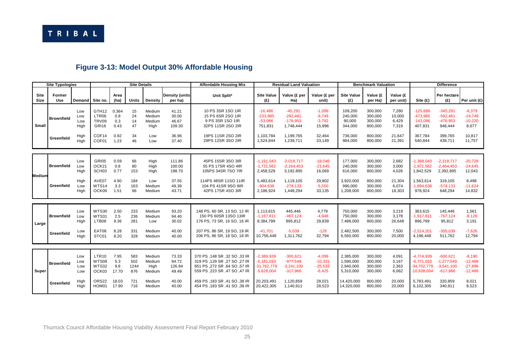

## **Figure 3-13: Model Output 30% Affordable Housing**

|                            | <b>Site Typologies</b>          |                                           |                                                                       |                                               | <b>Site Details</b>                     |                                                        |                                                       | <b>Affordable Housing Mix</b>                                                                                                                                                                |                                                                                           | <b>Residual Land Valuation</b>                                                     |                                                                    |                                                                              | <b>Benchmark Valuation</b>                                     |                                                       |                                                                                          | <b>Difference</b>                                                              |                                                                   |
|----------------------------|---------------------------------|-------------------------------------------|-----------------------------------------------------------------------|-----------------------------------------------|-----------------------------------------|--------------------------------------------------------|-------------------------------------------------------|----------------------------------------------------------------------------------------------------------------------------------------------------------------------------------------------|-------------------------------------------------------------------------------------------|------------------------------------------------------------------------------------|--------------------------------------------------------------------|------------------------------------------------------------------------------|----------------------------------------------------------------|-------------------------------------------------------|------------------------------------------------------------------------------------------|--------------------------------------------------------------------------------|-------------------------------------------------------------------|
| <b>Site</b><br><b>Size</b> | <b>Former</b><br>Use            | Demand                                    | Site no.                                                              | Area<br>(ha)                                  | <b>Units</b>                            | <b>Density</b>                                         | <b>Density (units</b><br>per ha)                      | Unit Split*                                                                                                                                                                                  | <b>Site Value</b><br>(E)                                                                  | Value (£ per<br>Ha)                                                                | Value (£ per<br>unit)                                              | <b>Site Value</b><br>(E)                                                     | Value (£<br>per Ha)                                            | Value (£<br>per unit)                                 | Site $(E)$                                                                               | Per hectare<br>(E)                                                             | Per unit (£)                                                      |
| <b>Small</b>               | <b>Brownfield</b><br>Greenfield | Low<br>Low<br>Low<br>High<br>High<br>High | GTH <sub>12</sub><br>LTR06<br>TRV09<br><b>GRI16</b><br>COF14<br>COF01 | 0.364<br>0.8<br>0.3<br>0.43<br>0.92<br>1.23   | 15<br>24<br>14<br>47<br>34<br>46        | Medium<br>Medium<br>Medium<br>High<br>Low<br>Low       | 41.21<br>30.00<br>46.67<br>109.30<br>36.96<br>37.40   | 10 PS 3SR 1SO 1IR<br>15 PS 6SR 2SO 1IR<br>9 PS 3SR 1SO 1IR<br>32PS 11SR 2SO 2IR<br>19PS 11SR 2SO 2IR<br>29PS 12SR 3SO 2IR                                                                    | $-16,486$<br>$-233.985$<br>$-53,086$<br>751,831<br>1.103.784<br>1,524,844                 | $-45,291$<br>$-292,481$<br>$-176,953$<br>1,748,444<br>1,199,765<br>1,239,711       | $-1,099$<br>$-9.749$<br>$-3.792$<br>15,996<br>32.464<br>33,149     | 109,200<br>240.000<br>90,000<br>344,000<br>736,000<br>984,000                | 300,000<br>300,000<br>300,000<br>800,000<br>800,000<br>800,000 | 7,280<br>10.000<br>6,429<br>7,319<br>21,647<br>21,391 | $-125,686$<br>-473.985<br>$-143.086$<br>407,831<br>367.784<br>540.844                    | $-345,291$<br>$-592.481$<br>$-476.953$<br>948,444<br>399,765<br>439,711        | $-8,379$<br>$-19.749$<br>$-10,220$<br>8,677<br>10.817<br>11,757   |
| Medium                     | <b>Brownfield</b><br>Greenfield | Low<br>Low<br>High<br>High<br>Low<br>High | GRI05<br>OCK21<br>SCH <sub>03</sub><br>AVE07<br>WTS14<br>OCK09        | 0.59<br>0.8<br>0.77<br>4.90<br>3.3<br>1.51    | 66<br>80<br>153<br>184<br>163<br>66     | High<br>High<br>High<br>Low<br>Medium<br>Medium        | 111.86<br>100.00<br>198.70<br>37.55<br>49.39<br>43.71 | 45PS 15SR 3SO 3IR<br>55 PS 17SR 4SO 4IR<br>105PS 34SR 7SO 7IR<br>114PS 48SR 11SO 11IR<br>104 PS 41SR 9SO 9IR<br>42PS 17SR 4SO 3IR                                                            | $-1,191,043$<br>$-1,731,562$<br>2,458,529<br>5,483,614<br>$-904,638$<br>2,186,924         | $-2,018,717$<br>$-2,164,453$<br>3,192,895<br>1,119,105<br>$-274, 133$<br>1,448,294 | $-18,046$<br>$-21,645$<br>16,069<br>29,802<br>$-5,550$<br>33,135   | 177,000<br>240,000<br>616,000<br>3,920,000<br>990,000<br>1,208,000           | 300,000<br>300,000<br>800,000<br>800,000<br>300,000<br>800,000 | 2,682<br>3,000<br>4,026<br>21,304<br>6,074<br>18,303  | $-1,368,043$<br>$-1,971,562$<br>1,842,529<br>1,563,614<br>$-1.894.638$<br>978,924        | $-2,318,717$<br>$-2,464,453$<br>2,392,895<br>319,105<br>$-574.133$<br>648,294  | $-20,728$<br>$-24,645$<br>12,043<br>8,498<br>$-11,624$<br>14,832  |
| Large                      | <b>Brownfield</b><br>Greenfield | Low<br>Low<br>High<br>Low<br>High         | <b>WTS30</b><br><b>WTS31</b><br>LTB08<br>EAT08<br>STC01               | 2.50<br>2.5<br>9.36<br>8.28<br>8.20           | 233<br>236<br>281<br>331<br>328         | Medium<br>Medium<br>Low<br>Medium<br>Medium            | 93.20<br>94.40<br>30.02<br>40.00<br>40.00             | 148 PS, 60 SR, 13 SO, 12 IR<br>150 PS 60SR 13SO 13IR<br>176 PS, 73 SR, 16 SO, 16 IR<br>207 PS, 86 SR, 19 SO, 19 IR<br>206 PS, 86 SR, 18 SO, 18 IR                                            | 1,113,615<br>$-1.167.811$<br>8,384,799<br>$-41.701$<br>10.756.448                         | 445,446<br>$-467,124$<br>895,812<br>$-5,039$<br>1,311,762                          | 4,779<br>$-4,948$<br>29,839<br>$-126$<br>32,794                    | 750,000<br>750.000<br>7,488,000<br>2,482,500<br>6.560.000                    | 300,000<br>300,000<br>800,000<br>300,000<br>800.000            | 3,219<br>3,178<br>26,648<br>7,500<br>20,000           | 363,615<br>$-1.917.811$<br>896,799<br>$-2,524,201$<br>4.196.448                          | 145,446<br>$-767.124$<br>95,812<br>$-305,039$<br>511.762                       | 1,561<br>$-8,126$<br>3,191<br>$-7,626$<br>12,794                  |
| Super                      | <b>Brownfield</b><br>Greenfield | Low<br>Low<br>Low<br>Low<br>High<br>High  | LTR <sub>10</sub><br>WTS08<br><b>WTS32</b><br>OCK03<br>ORS22<br>HOM01 | 7.95<br>5.3<br>9.8<br>17.70<br>18.03<br>17.90 | 583<br>502<br>1244<br>876<br>721<br>716 | Medium<br>Medium<br>High<br>Medium<br>Medium<br>Medium | 73.33<br>94.72<br>126.94<br>49.49<br>40.00<br>40.00   | 370 PS, 148 SR, 32 SO, 33 IR<br>319 PS .129 SR .27 SO .27 IR<br>851 PS ,272 SR ,64 SO ,57 IR<br>559 PS ,223 SR ,47 SO ,47 IR<br>459 PS .183 SR .41 SO .38 IR<br>454 PS, 183 SR, 41 SO, 38 IR | $-2,389,939$<br>$-5.181.010$<br>$-31,762,779$<br>$-5,628,004$<br>20.203.491<br>20,422,305 | $-300,621$<br>$-977,549$<br>$-3,241,100$<br>$-317,966$<br>1,120,859<br>1,140,911   | $-4,099$<br>$-10.321$<br>$-25,533$<br>$-6,425$<br>28.021<br>28,523 | 2,385,000<br>1.590.000<br>2,940,000<br>5,310,000<br>14.420.000<br>14,320,000 | 300,000<br>300.000<br>300,000<br>300,000<br>800.000<br>800,000 | 4,091<br>3.167<br>2,363<br>6,062<br>20,000<br>20,000  | $-4.774.939$<br>$-6.771.010$<br>$-34,702,779$<br>$-10,938,004$<br>5.783.491<br>6,102,305 | $-600,621$<br>$-1.277.549$<br>$-3,541,100$<br>$-617,966$<br>320.859<br>340,911 | $-8,190$<br>$-13,488$<br>$-27,896$<br>$-12,486$<br>8,021<br>8,523 |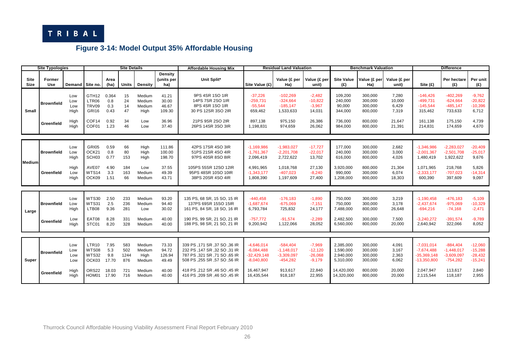

## **Figure 3-14: Model Output 35% Affordable Housing**

|                            | <b>Site Typologies</b>          |                                           |                                                                       |                                               | <b>Site Details</b>                     |                                                        |                                                       | <b>Affordable Housing Mix</b>                                                                                                                                                                   |                                                                                           | <b>Residual Land Valuation</b>                                                    |                                                                    |                                                                              | <b>Benchmark Valuation</b>                                     |                                                       |                                                                                          | <b>Difference</b>                                                              |                                                                    |
|----------------------------|---------------------------------|-------------------------------------------|-----------------------------------------------------------------------|-----------------------------------------------|-----------------------------------------|--------------------------------------------------------|-------------------------------------------------------|-------------------------------------------------------------------------------------------------------------------------------------------------------------------------------------------------|-------------------------------------------------------------------------------------------|-----------------------------------------------------------------------------------|--------------------------------------------------------------------|------------------------------------------------------------------------------|----------------------------------------------------------------|-------------------------------------------------------|------------------------------------------------------------------------------------------|--------------------------------------------------------------------------------|--------------------------------------------------------------------|
| <b>Site</b><br><b>Size</b> | Former<br>Use                   | Demand Site no.                           |                                                                       | Area<br>(ha)                                  | <b>Units</b>                            | Density                                                | Density<br>(units per<br>ha)                          | Unit Split*                                                                                                                                                                                     | Site Value (£)                                                                            | Value (£ per<br>Ha)                                                               | Value (£ per<br>unit)                                              | <b>Site Value</b><br>(E)                                                     | Value (£ per<br>Ha)                                            | Value (£ per<br>unit)                                 | Site $(E)$                                                                               | Per hectare<br>(E)                                                             | Per unit<br>(£)                                                    |
| <b>Small</b>               | <b>Brownfield</b><br>Greenfield | Low<br>Low<br>Low<br>High<br>High<br>High | GTH <sub>12</sub><br>LTR06<br>TRV09<br>GRI16<br>COF14<br>COF01        | 0.364<br>0.8<br>0.3<br>0.43<br>0.92<br>1.23   | 15<br>24<br>14<br>47<br>34<br>46        | Medium<br>Medium<br>Medium<br>High<br>Low<br>Low       | 41.21<br>30.00<br>46.67<br>109.30<br>36.96<br>37.40   | 9PS 4SR 1SO 1IR<br>14PS 7SR 2SO 1IR<br>8PS 4SR 1SO 1IR<br>30 PS 12SR 3SO 2IR<br>21PS 9SR 2SO 2IR<br>26PS 14SR 3SO 3IR                                                                           | $-37.226$<br>$-259.731$<br>$-55.544$<br>659,462<br>897,138<br>1,198,831                   | $-102.269$<br>$-324.664$<br>$-185.147$<br>1,533,633<br>975,150<br>974,659         | $-2,482$<br>$-10,822$<br>$-3,967$<br>14,031<br>26,386<br>26,062    | 109.200<br>240.000<br>90,000<br>344,000<br>736,000<br>984,000                | 300.000<br>300.000<br>300,000<br>800,000<br>800,000<br>800,000 | 7,280<br>10.000<br>6,429<br>7,319<br>21,647<br>21,391 | $-146.426$<br>$-499.731$<br>$-145,544$<br>315,462<br>161,138<br>214,831                  | $-402.269$<br>$-624,664$<br>$-485,147$<br>733,633<br>175,150<br>174,659        | $-9,762$<br>$-20,822$<br>$-10,396$<br>6,712<br>4,739<br>4,670      |
| Medium                     | <b>Brownfield</b><br>Greenfield | Low<br>Low<br>High<br>High<br>Low<br>High | GRI05<br>OCK21<br>SCH <sub>03</sub><br>AVE07<br><b>WTS14</b><br>OCK09 | 0.59<br>0.8<br>0.77<br>4.90<br>3.3<br>1.51    | 66<br>80<br>153<br>184<br>163<br>66     | High<br>High<br>High<br>Low<br>Medium<br>Medium        | 111.86<br>100.00<br>198.70<br>37.55<br>49.39<br>43.71 | 42PS 17SR 4SO 3IR<br>51PS 21SR 4SO 4IR<br>97PS 40SR 8SO 8IR<br>105PS 55SR 12SO 12IR<br>95PS 48SR 10SO 10IR<br>38PS 20SR 4SO 4IR                                                                 | $-1,169,986$<br>$-1,761,367$<br>2,096,419<br>4.991.965<br>$-1,343,177$<br>1,808,390       | $-1,983,027$<br>$-2,201,708$<br>2,722,622<br>1,018,768<br>$-407.023$<br>1,197,609 | $-17,727$<br>$-22,017$<br>13,702<br>27,130<br>$-8,240$<br>27,400   | 177,000<br>240.000<br>616,000<br>3,920,000<br>990,000<br>1,208,000           | 300,000<br>300,000<br>800,000<br>800.000<br>300,000<br>800,000 | 2,682<br>3,000<br>4,026<br>21.304<br>6,074<br>18,303  | $-1,346,986$<br>$-2,001,367$<br>1,480,419<br>1,071,965<br>$-2,333,177$<br>600,390        | $-2,283,027$<br>$-2,501,708$<br>1,922,622<br>218,768<br>$-707,023$<br>397,609  | $-20,409$<br>$-25,017$<br>9,676<br>5,826<br>$-14,314$<br>9,097     |
| Large                      | <b>Brownfield</b><br>Greenfield | Low<br>Low<br>High<br>Low<br>High         | WTS30<br><b>WTS31</b><br>LTB08<br>EAT08<br>STC01                      | 2.50<br>2.5<br>9.36<br>8.28<br>8.20           | 233<br>236<br>281<br>331<br>328         | Medium<br>Medium<br>Low<br>Medium<br>Medium            | 93.20<br>94.40<br>30.02<br>40.00<br>40.00             | 135 PS, 68 SR, 15 SO, 15 IR<br>137PS 69SR 15SO 15IR<br>161 PS, 84 SR, 18 SO, 16 IR<br>190 PS, 99 SR, 21 SO, 21 IR<br>188 PS, 98 SR, 21 SO, 21 IR                                                | $-440.458$<br>$-1.687.674$<br>6,793,784<br>$-757.772$<br>9,200,942                        | $-176.183$<br>$-675.069$<br>725,832<br>$-91.574$<br>1,122,066                     | $-1,890$<br>$-7,151$<br>24,177<br>$-2.289$<br>28,052               | 750,000<br>750.000<br>7,488,000<br>2,482,500<br>6,560,000                    | 300,000<br>300,000<br>800,000<br>300.000<br>800,000            | 3,219<br>3,178<br>26,648<br>7,500<br>20,000           | $-1,190,458$<br>$-2,437,674$<br>$-694,216$<br>$-3.240.272$<br>2,640,942                  | $-476,183$<br>$-975,069$<br>$-74,168$<br>$-391.574$<br>322,066                 | $-5,109$<br>$-10,329$<br>$-2,471$<br>$-9.789$<br>8,052             |
| Super                      | <b>Brownfield</b><br>Greenfield | Low<br>Low<br>Low<br>Low<br>High<br>High  | LTR <sub>10</sub><br>WTS08<br>WTS32<br>OCK03<br>ORS22<br>HOM01        | 7.95<br>5.3<br>9.8<br>17.70<br>18.03<br>17.90 | 583<br>502<br>1244<br>876<br>721<br>716 | Medium<br>Medium<br>High<br>Medium<br>Medium<br>Medium | 73.33<br>94.72<br>126.94<br>49.49<br>40.00<br>40.00   | 339 PS, 171 SR, 37 SO, 36 IR<br>232 PS .147 SR .32 SO .31 IR<br>787 PS ,321 SR ,71 SO ,65 IR<br>508 PS, 255 SR, 57 SO, 56 IR<br>418 PS, 212 SR, 46 SO, 45 IR<br>416 PS , 209 SR , 46 SO , 45 IR | $-4,646,014$<br>$-6.084.488$<br>$-32,429,148$<br>$-8,040,800$<br>16,467,947<br>16,435,544 | $-584,404$<br>$-1.148.017$<br>$-3,309,097$<br>$-454,282$<br>913.617<br>918,187    | $-7,969$<br>$-12,120$<br>$-26,068$<br>$-9,179$<br>22,840<br>22,955 | 2,385,000<br>1.590.000<br>2,940,000<br>5,310,000<br>14,420,000<br>14,320,000 | 300,000<br>300.000<br>300,000<br>300,000<br>800,000<br>800,000 | 4,091<br>3,167<br>2,363<br>6,062<br>20,000<br>20,000  | $-7,031,014$<br>$-7,674,488$<br>$-35,369,148$<br>$-13,350,800$<br>2,047,947<br>2,115,544 | $-884,404$<br>$-1,448,017$<br>$-3,609,097$<br>$-754,282$<br>113,617<br>118,187 | $-12,060$<br>$-15,288$<br>$-28,432$<br>$-15,241$<br>2,840<br>2,955 |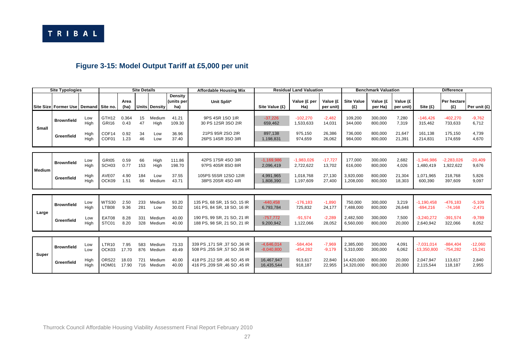## **Figure 3-15: Model Output Tariff at £5,000 per unit**

|               | <b>Site Typologies</b>                   |              | <b>Site Details</b>        |                |            |                  |                                     | <b>Affordable Housing Mix</b>                                         |                              | <b>Residual Land Valuation</b> |                       |                          | <b>Benchmark Valuation</b> |                       | <b>Difference</b>             |                           |                        |
|---------------|------------------------------------------|--------------|----------------------------|----------------|------------|------------------|-------------------------------------|-----------------------------------------------------------------------|------------------------------|--------------------------------|-----------------------|--------------------------|----------------------------|-----------------------|-------------------------------|---------------------------|------------------------|
|               | Site Size Former Use   Demand   Site no. |              |                            | Area<br>(ha)   |            | Units Density    | <b>Density</b><br>(units per<br>ha) | Unit Split*                                                           | Site Value (£)               | Value (£ per<br>Ha)            | Value (£<br>per unit) | <b>Site Value</b><br>(£) | Value (£<br>per Ha)        | Value (£<br>per unit) | Site $(E)$                    | <b>Per hectare</b><br>(£) | Per unit (£)           |
| <b>Small</b>  | <b>Brownfield</b>                        | Low<br>High  | GTH <sub>12</sub><br>GRI16 | 0.364<br>0.43  | 15<br>47   | Medium<br>High   | 41.21<br>109.30                     | 9PS 4SR 1SO 1IR<br>30 PS 12SR 3SO 2IR                                 | $-37,226$<br>659.462         | $-102.270$<br>1,533,633        | $-2,482$<br>14,031    | 109,200<br>344,000       | 300,000<br>800,000         | 7,280<br>7,319        | $-146.426$<br>315,462         | $-402,270$<br>733,633     | $-9,762$<br>6,712      |
|               | Greenfield                               | High<br>High | COF14<br>COF <sub>01</sub> | 0.92<br>1.23   | 34<br>46   | Low<br>Low       | 36.96<br>37.40                      | 21PS 9SR 2SO 2IR<br>26PS 14SR 3SO 3IR                                 | 897.138<br>1,198,831         | 975,150<br>974,659             | 26,386<br>26,062      | 736.000<br>984,000       | 800,000<br>800,000         | 21,647<br>21,391      | 161.138<br>214,831            | 175.150<br>174,659        | 4,739<br>4,670         |
|               |                                          |              |                            |                |            |                  |                                     |                                                                       |                              |                                |                       |                          |                            |                       |                               |                           |                        |
|               | <b>Brownfield</b>                        | Low<br>High  | GRI05<br>SCH <sub>03</sub> | 0.59<br>0.77   | 66<br>153  | High<br>High     | 111.86<br>198.70                    | 42PS 17SR 4SO 3IR<br>97PS 40SR 8SO 8IR                                | $-1,169,986$<br>2,096,419    | $-1,983,026$<br>2,722,622      | $-17,727$<br>13,702   | 177,000<br>616,000       | 300,000<br>800,000         | 2,682<br>4,026        | $-1,346,986$<br>1,480,419     | $-2,283,026$<br>1,922,622 | $-20,409$<br>9,676     |
| <b>Medium</b> | Greenfield                               | High<br>High | AVE07<br>OCK09             | 4.90<br>1.51   | 184<br>66  | Low<br>Medium    | 37.55<br>43.71                      | 105PS 55SR 12SO 12IR<br>38PS 20SR 4SO 4IR                             | 4,991,965<br>1,808,390       | 1,018,768<br>1.197.609         | 27,130<br>27,400      | 3,920,000<br>1,208,000   | 800,000<br>800,000         | 21,304<br>18,303      | 1.071.965<br>600.390          | 218,768<br>397,609        | 5,826<br>9,097         |
|               |                                          |              |                            |                |            |                  |                                     |                                                                       |                              |                                |                       |                          |                            |                       |                               |                           |                        |
| Large         | <b>Brownfield</b>                        | Low<br>High  | WTS30<br>LTB08             | 2.50<br>9.36   | 233<br>281 | Medium<br>Low    | 93.20<br>30.02                      | 135 PS, 68 SR, 15 SO, 15 IR<br>161 PS, 84 SR, 18 SO, 16 IR            | $-440,458$<br>6,793,784      | $-176, 183$<br>725,832         | $-1,890$<br>24,177    | 750,000<br>7,488,000     | 300,000<br>800,000         | 3,219<br>26,648       | $-1,190,458$<br>$-694,216$    | $-476, 183$<br>$-74,168$  | $-5,109$<br>$-2,471$   |
|               | Greenfield                               | Low<br>High  | EAT08<br>STC01             | 8.28<br>8.20   | 331<br>328 | Medium<br>Medium | 40.00<br>40.00                      | 190 PS, 99 SR, 21 SO, 21 IR<br>188 PS, 98 SR, 21 SO, 21 IR            | $-757.772$<br>9,200,942      | $-91.574$<br>1,122,066         | $-2,289$<br>28,052    | 2,482,500<br>6,560,000   | 300,000<br>800,000         | 7,500<br>20,000       | $-3.240.272$<br>2,640,942     | $-391.574$<br>322,066     | $-9.789$<br>8,052      |
|               |                                          |              |                            |                |            |                  |                                     |                                                                       |                              |                                |                       |                          |                            |                       |                               |                           |                        |
| Super         | <b>Brownfield</b>                        | Low<br>Low   | LTR <sub>10</sub><br>OCK03 | 7.95<br>17.70  | 583<br>876 | Medium<br>Medium | 73.33<br>49.49                      | 30 IR 339 PS , 171 SR , 37 SO , 36 IR<br>508 PS .255 SR .57 SO .56 IR | $-4,646,014$<br>$-8,040,800$ | $-584,404$<br>$-454,282$       | $-7,969$<br>$-9,179$  | 2,385,000<br>5,310,000   | 300,000<br>300,000         | 4,091<br>6,062        | $-7,031,014$<br>$-13,350,800$ | $-884,404$<br>$-754,282$  | $-12,060$<br>$-15,241$ |
|               | Greenfield                               | High<br>High | ORS22<br>HOM01             | 18.03<br>17.90 | 721<br>716 | Medium<br>Medium | 40.00<br>40.00                      | 418 PS , 212 SR , 46 SO , 45 IR<br>416 PS , 209 SR , 46 SO , 45 IR    | 16,467,947<br>16,435,544     | 913,617<br>918,187             | 22,840<br>22,955      | 14.420.000<br>14,320,000 | 800.000<br>800,000         | 20,000<br>20,000      | 2.047.947<br>2,115,544        | 113,617<br>118,187        | 2,840<br>2,955         |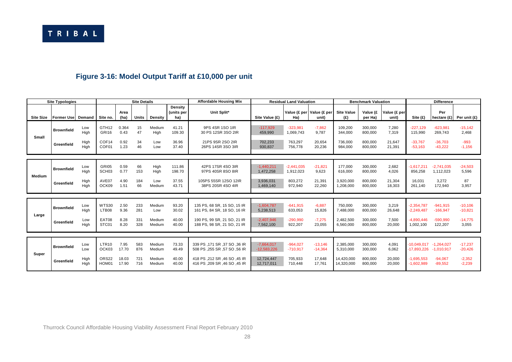## **Figure 3-16: Model Output Tariff at £10,000 per unit**

|                  | <b>Site Typologies</b> |              |                            |                | <b>Site Details</b> |                  |                                     | <b>Affordable Housing Mix</b>                                |                               | <b>Residual Land Valuation</b> |                                        |                          | <b>Benchmark Valuation</b> |                       |                              | <b>Difference</b>            |                        |
|------------------|------------------------|--------------|----------------------------|----------------|---------------------|------------------|-------------------------------------|--------------------------------------------------------------|-------------------------------|--------------------------------|----------------------------------------|--------------------------|----------------------------|-----------------------|------------------------------|------------------------------|------------------------|
| <b>Site Size</b> | Former Use Demand      |              | Site no.                   | Area<br>(ha)   | Units               | <b>Density</b>   | <b>Density</b><br>(units per<br>ha) | Unit Split*                                                  | Site Value (£)                | Ha)                            | Value (£ per   Value (£ per  <br>unit) | <b>Site Value</b><br>(£) | Value (£<br>per Ha)        | Value (£ per<br>unit) | Site(f)                      | Per<br>hectare $(E)$         | Per unit (£)           |
| Small            | <b>Brownfield</b>      | Low<br>High  | GTH <sub>12</sub><br>GRI16 | 0.364<br>0.43  | 15<br>47            | Medium<br>High   | 41.21<br>109.30                     | 9PS 4SR 1SO 1IR<br>30 PS 12SR 3SO 2IR                        | $-117,929$<br>459,990         | $-323.981$<br>1,069,743        | $-7,862$<br>9,787                      | 109.200<br>344,000       | 300,000<br>800,000         | 7.280<br>7,319        | $-227.129$<br>115,990        | $-623.981$<br>269,743        | $-15.142$<br>2,468     |
|                  | Greenfield             | High<br>High | COF14<br>COF <sub>01</sub> | 0.92<br>1.23   | 34<br>46            | Low<br>Low       | 36.96<br>37.40                      | 21PS 9SR 2SO 2IR<br>26PS 14SR 3SO 3IR                        | 702,233<br>930,837            | 763,297<br>756,778             | 20,654<br>20,236                       | 736,000<br>984,000       | 800,000<br>800,000         | 21,647<br>21,391      | $-33.767$<br>$-53,163$       | $-36.703$<br>$-43,222$       | $-993$<br>$-1,156$     |
|                  | <b>Brownfield</b>      | Low<br>High  | GRI05<br>SCH <sub>03</sub> | 0.59<br>0.77   | 66<br>153           | High<br>High     | 111.86<br>198.70                    | 42PS 17SR 4SO 3IR<br>97PS 40SR 8SO 8IR                       | $-1.440.211$<br>1.472.258     | $-2.441.035$<br>1,912,023      | $-21,821$<br>9,623                     | 177.000<br>616,000       | 300,000<br>800,000         | 2,682<br>4.026        | $-1.617.211$<br>856,258      | $-2.741.035$<br>1,112,023    | $-24,503$<br>5,596     |
| Medium           | Greenfield             | High<br>High | AVE07<br>OCK09             | 4.90<br>1.51   | 184<br>66           | Low<br>Medium    | 37.55<br>43.71                      | 105PS 55SR 12SO 12IR<br>38PS 20SR 4SO 4IR                    | 3,936,031<br>1,469,140        | 803,272<br>972,940             | 21,391<br>22,260                       | 3,920,000<br>1,208,000   | 800,000<br>800,000         | 21,304<br>18,303      | 16.031<br>261,140            | 3.272<br>172,940             | 87<br>3,957            |
|                  |                        | Low          | <b>WTS30</b>               | 2.50           | 233                 | Medium           | 93.20                               | 135 PS, 68 SR, 15 SO, 15 IR                                  | $-1.604.787$                  | $-641,915$                     | $-6,887$                               | 750.000                  | 300,000                    | 3,219                 | $-2.354.787$                 | $-941,915$                   | $-10,106$              |
|                  | <b>Brownfield</b>      | High         | LTB08                      | 9.36           | 281                 | Low              | 30.02                               | 161 PS, 84 SR, 18 SO, 16 IR                                  | 5.238.513                     | 633,053                        | 15,826                                 | 7,488,000                | 800,000                    | 26,648                | $-2.249.487$                 | $-166,947$                   | $-10,821$              |
| Large            | Greenfield             | Low<br>High  | EAT08<br>STC01             | 8.28<br>8.20   | 331<br>328          | Medium<br>Medium | 40.00<br>40.00                      | 190 PS, 99 SR, 21 SO, 21 IR<br>188 PS, 98 SR, 21 SO, 21 IR   | $-2.407.946$<br>7.562.100     | $-290,990$<br>922.207          | $-7,275$<br>23.055                     | 2.482.500<br>6.560.000   | 300,000<br>800.000         | 7,500<br>20,000       | $-4.890.446$<br>1.002.100    | $-590.990$<br>122,207        | $-14,775$<br>3.055     |
|                  |                        |              |                            |                |                     |                  |                                     |                                                              |                               |                                |                                        |                          |                            |                       |                              |                              |                        |
| Super            | <b>Brownfield</b>      | Low<br>Low   | LTR <sub>10</sub><br>OCK03 | 7.95<br>17.70  | 583<br>876          | Medium<br>Medium | 73.33<br>49.49                      | 339 PS, 171 SR, 37 SO, 36 IR<br>508 PS ,255 SR ,57 SO ,56 IR | $-7,664,017$<br>$-12,583,226$ | $-964.027$<br>$-710,917$       | $-13,146$<br>$-14,364$                 | 2,385,000<br>5,310,000   | 300,000<br>300,000         | 4,091<br>6,062        | $-10.049.017$<br>-17,893,226 | $-1.264.027$<br>$-1,010,917$ | $-17,237$<br>$-20,426$ |
|                  | Greenfield             | High<br>High | ORS22<br>HOM01             | 18.03<br>17.90 | 721<br>716          | Medium<br>Medium | 40.00<br>40.00                      | 418 PS ,212 SR ,46 SO ,45 IR<br>416 PS, 209 SR, 46 SO, 45 IR | 12,724,447<br>12,717,011      | 705,933<br>710.448             | 17,648<br>17,761                       | 14.420.000<br>14,320,000 | 800,000<br>800,000         | 20,000<br>20,000      | $-1.695.553$<br>$-1,602,989$ | $-94,067$<br>$-89,552$       | $-2,352$<br>$-2,239$   |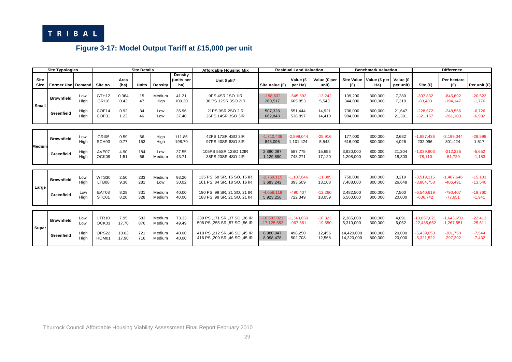

## **Figure 3-17: Model Output Tariff at £15,000 per unit**

| <b>Site Typologies</b> |                     |              | <b>Site Details</b>               |                |            |                  |                                     | <b>Affordable Housing Mix</b>                                         | <b>Residual Land Valuation</b> |                            |                        | <b>Benchmark Valuation</b> |                     |                       | <b>Difference</b>              |                              |                        |
|------------------------|---------------------|--------------|-----------------------------------|----------------|------------|------------------|-------------------------------------|-----------------------------------------------------------------------|--------------------------------|----------------------------|------------------------|----------------------------|---------------------|-----------------------|--------------------------------|------------------------------|------------------------|
| Site<br>Size           | Former Use   Demand |              | Site no.                          | Area<br>(ha)   | Units      | <b>Density</b>   | <b>Density</b><br>(units per<br>ha) | Unit Split*                                                           | Site Value (£)                 | Value (£<br>per Ha)        | Value (£ per<br>unit)  | <b>Site Value</b><br>(E)   | Value (£ per<br>Ha) | Value (£<br>per unit) | Site (£)                       | Per hectare<br>(E)           | Per unit (£)           |
| Small                  | <b>Brownfield</b>   | Low<br>High  | GTH <sub>12</sub><br><b>GRI16</b> | 0.364<br>0.43  | 15<br>47   | Medium<br>High   | 41.21<br>109.30                     | 9PS 4SR 1SO 1IR<br>30 PS 12SR 3SO 2IR                                 | $-198,632$<br>260,517          | $-545,692$<br>605,853      | $-13,242$<br>5,543     | 109,200<br>344,000         | 300,000<br>800,000  | 7,280<br>7,319        | $-307.832$<br>$-83,483$        | $-845.692$<br>$-194, 147$    | $-20,522$<br>$-1,776$  |
|                        | Greenfield          | High<br>High | COF14<br>COF01                    | 0.92<br>1.23   | 34<br>46   | Low<br>Low       | 36.96<br>37.40                      | 21PS 9SR 2SO 2IR<br>26PS 14SR 3SO 3IR                                 | 507,328<br>662,843             | 551,444<br>538,897         | 14.921<br>14.410       | 736,000<br>984,000         | 800,000<br>800,000  | 21,647<br>21,391      | $-228.672$<br>$-321.157$       | $-248.556$<br>$-261,103$     | $-6.726$<br>$-6,982$   |
| Medium                 | <b>Brownfield</b>   | Low<br>High  | GRI05<br>SCH <sub>03</sub>        | 0.59<br>0.77   | 66<br>153  | High<br>High     | 111.86<br>198.70                    | 42PS 17SR 4SO 3IR<br>97PS 40SR 8SO 8IR                                | $-1,710,436$<br>848,096        | $-2.899.044$<br>1,101,424  | $-25,916$<br>5,543     | 177,000<br>616,000         | 300,000<br>800,000  | 2,682<br>4,026        | $-1,887,436$<br>232,096        | $-3,199,044$<br>301,424      | $-28,598$<br>1,517     |
|                        | Greenfield          | High<br>High | AVE07<br>OCK09                    | 4.90<br>1.51   | 184<br>66  | Low<br>Medium    | 37.55<br>43.71                      | 105PS 55SR 12SO 12IR<br>38PS 20SR 4SO 4IR                             | 2.880.097<br>1,129,890         | 587.775<br>748,271         | 15.653<br>17,120       | 3,920,000<br>1,208,000     | 800,000<br>800,000  | 21,304<br>18,303      | $-1,039,903$<br>$-78,110$      | $-212.225$<br>$-51,729$      | $-5,652$<br>$-1,183$   |
|                        |                     |              |                                   |                |            |                  |                                     |                                                                       |                                |                            |                        |                            |                     |                       |                                |                              |                        |
| Large                  | <b>Brownfield</b>   | Low<br>High  | <b>WTS30</b><br>LTB08             | 2.50<br>9.36   | 233<br>281 | Medium<br>Low    | 93.20<br>30.02                      | 135 PS, 68 SR, 15 SO, 15 IR<br>161 PS, 84 SR, 18 SO, 16 IR            | $-2,769,115$<br>3,683,242      | $-1,107,646$<br>393,509    | $-11,885$<br>13,108    | 750,000<br>7,488,000       | 300,000<br>800,000  | 3,219<br>26,648       | $-3,519,115$<br>$-3,804,758$   | $-1,407,646$<br>$-406,491$   | $-15,103$<br>$-13,540$ |
|                        | Greenfield          | Low<br>High  | EAT08<br>STC01                    | 8.28<br>8.20   | 331<br>328 | Medium<br>Medium | 40.00<br>40.00                      | 190 PS, 99 SR, 21 SO, 21 IR<br>188 PS, 98 SR, 21 SO, 21 IR            | $-4,058,119$<br>5,923,258      | $-490,407$<br>722,349      | $-12,260$<br>18,059    | 2,482,500<br>6,560,000     | 300,000<br>800,000  | 7,500<br>20,000       | $-6,540,619$<br>$-636.742$     | $-790,407$<br>$-77,651$      | $-19.760$<br>$-1,941$  |
|                        |                     |              |                                   |                |            |                  |                                     |                                                                       |                                |                            |                        |                            |                     |                       |                                |                              |                        |
| Super                  | <b>Brownfield</b>   | Low<br>Low   | <b>LTR10</b><br>OCK03             | 7.95<br>17.70  | 583<br>876 | Medium<br>Medium | 73.33<br>49.49                      | 36 IR 339 PS , 171 SR , 37 SO , 36 IR<br>508 PS, 255 SR, 57 SO, 56 IR | $-10.682.021$<br>$-17,125,652$ | $-1,343,650$<br>$-967,551$ | $-18,323$<br>$-19,550$ | 2,385,000<br>5,310,000     | 300,000<br>300,000  | 4,091<br>6,062        | $-13,067,021$<br>$-22,435,652$ | $-1,643,650$<br>$-1,267,551$ | $-22,413$<br>$-25,611$ |
|                        | Greenfield          | High<br>High | ORS22<br>HOM01                    | 18.03<br>17.90 | 721<br>716 | Medium<br>Medium | 40.00<br>40.00                      | 418 PS ,212 SR ,46 SO ,45 IR<br>416 PS .209 SR .46 SO .45 IR          | 8,980,947<br>8,998,478         | 498,250<br>502,708         | 12,456<br>12,568       | 14,420,000<br>14,320,000   | 800,000<br>800,000  | 20,000<br>20,000      | $-5.439.053$<br>$-5,321,522$   | $-301.750$<br>$-297,292$     | $-7,544$<br>$-7,432$   |